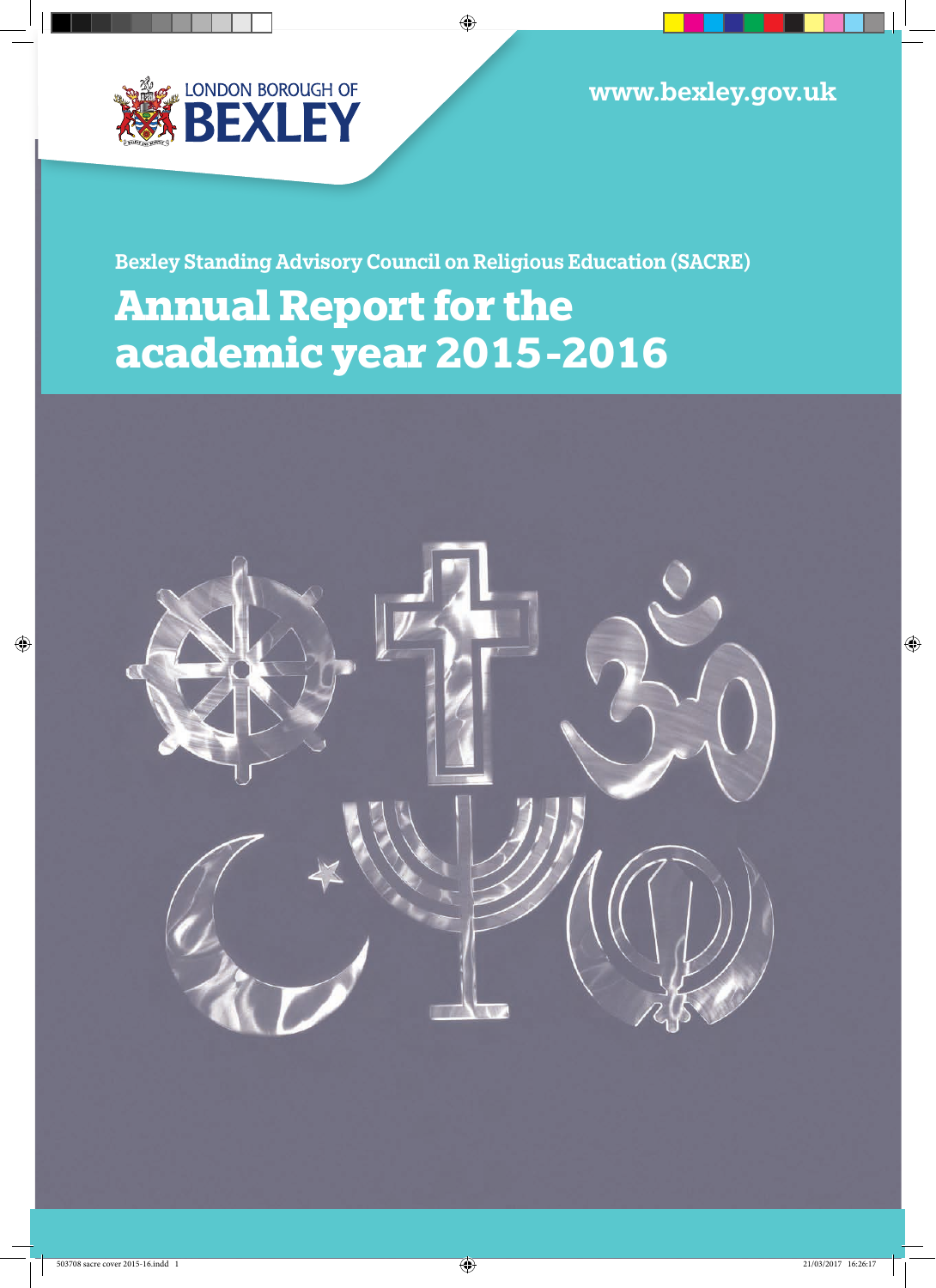LONDON BOROUGH OF

www.bexley.gov.uk

Bexley Standing Advisory Council on Religious Education (SACRE)

# **Annual Report for the academic year 2015-2016**

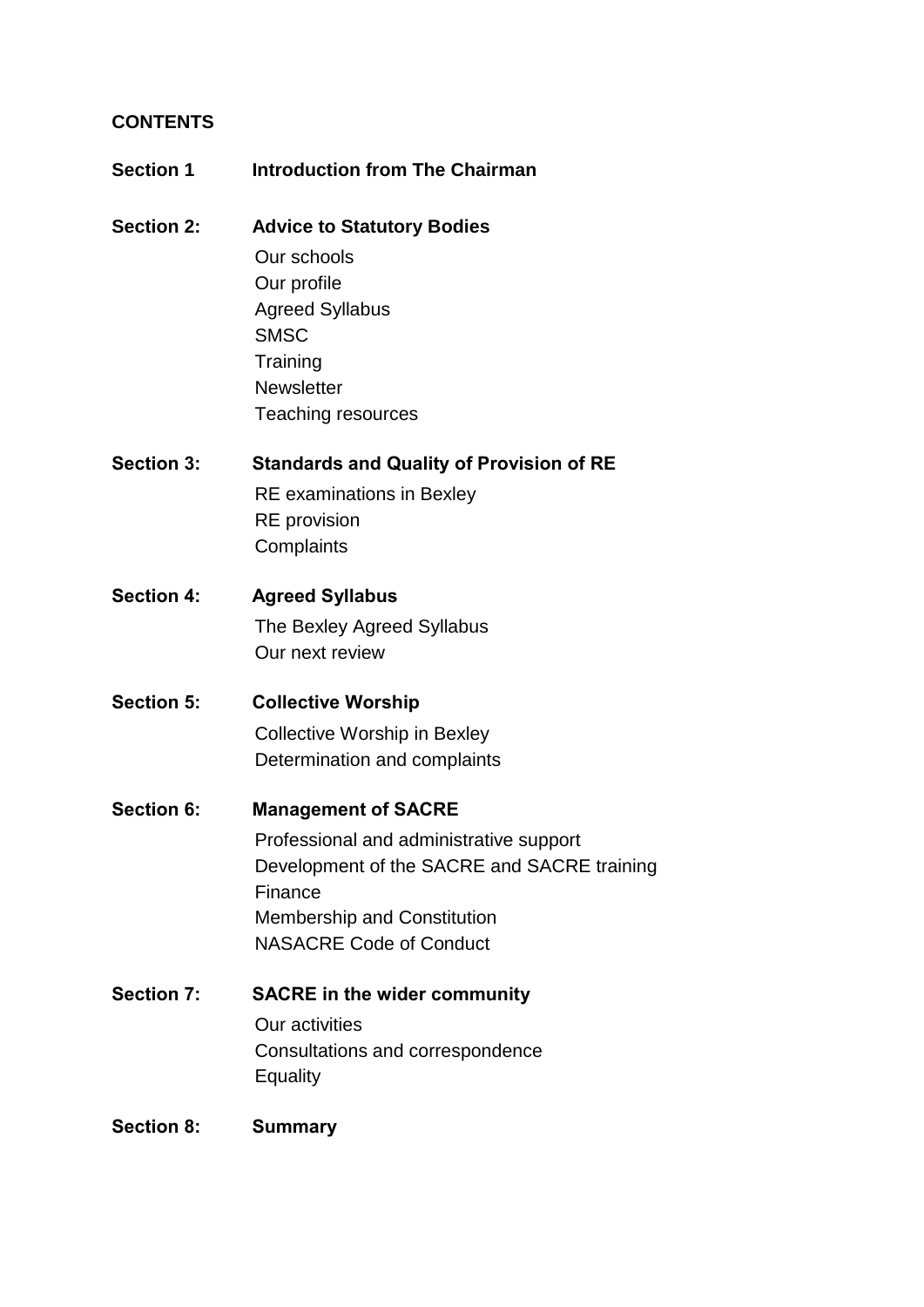# **CONTENTS**

- **Section 2: Advice to Statutory Bodies** Our schools Our profile Agreed Syllabus **SMSC Training Newsletter** Teaching resources
- **Section 3: Standards and Quality of Provision of RE** RE examinations in Bexley RE provision **Complaints**
- **Section 4: Agreed Syllabus** The Bexley Agreed Syllabus Our next review
- **Section 5: Collective Worship** Collective Worship in Bexley Determination and complaints
- **Section 6: Management of SACRE**

Professional and administrative support Development of the SACRE and SACRE training Finance Membership and Constitution NASACRE Code of Conduct

- **Section 7: SACRE in the wider community** Our activities Consultations and correspondence **Equality**
- **Section 8: Summary**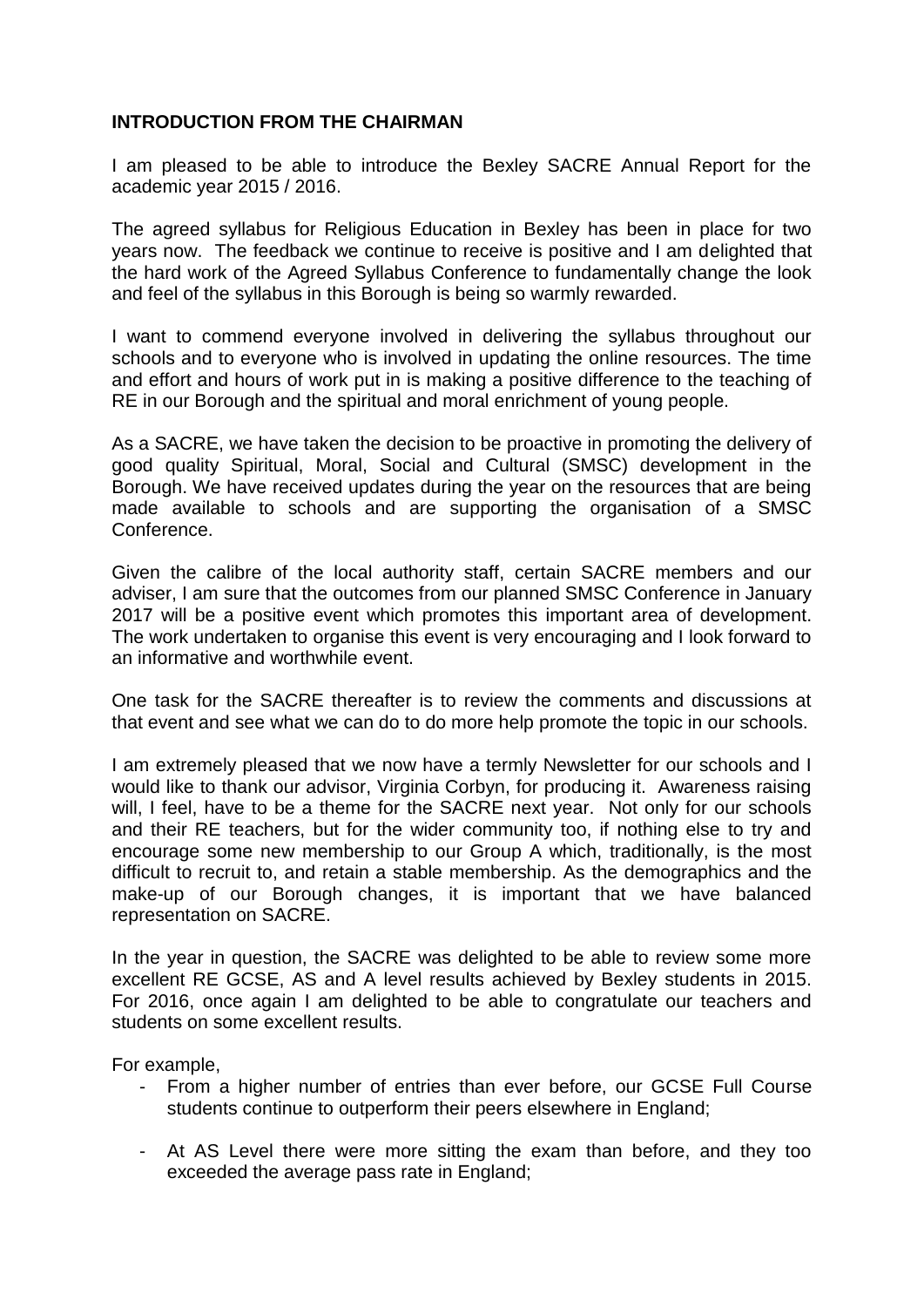# **INTRODUCTION FROM THE CHAIRMAN**

I am pleased to be able to introduce the Bexley SACRE Annual Report for the academic year 2015 / 2016.

The agreed syllabus for Religious Education in Bexley has been in place for two years now. The feedback we continue to receive is positive and I am delighted that the hard work of the Agreed Syllabus Conference to fundamentally change the look and feel of the syllabus in this Borough is being so warmly rewarded.

I want to commend everyone involved in delivering the syllabus throughout our schools and to everyone who is involved in updating the online resources. The time and effort and hours of work put in is making a positive difference to the teaching of RE in our Borough and the spiritual and moral enrichment of young people.

As a SACRE, we have taken the decision to be proactive in promoting the delivery of good quality Spiritual, Moral, Social and Cultural (SMSC) development in the Borough. We have received updates during the year on the resources that are being made available to schools and are supporting the organisation of a SMSC Conference.

Given the calibre of the local authority staff, certain SACRE members and our adviser, I am sure that the outcomes from our planned SMSC Conference in January 2017 will be a positive event which promotes this important area of development. The work undertaken to organise this event is very encouraging and I look forward to an informative and worthwhile event.

One task for the SACRE thereafter is to review the comments and discussions at that event and see what we can do to do more help promote the topic in our schools.

I am extremely pleased that we now have a termly Newsletter for our schools and I would like to thank our advisor, Virginia Corbyn, for producing it. Awareness raising will. I feel, have to be a theme for the SACRE next year. Not only for our schools and their RE teachers, but for the wider community too, if nothing else to try and encourage some new membership to our Group A which, traditionally, is the most difficult to recruit to, and retain a stable membership. As the demographics and the make-up of our Borough changes, it is important that we have balanced representation on SACRE.

In the year in question, the SACRE was delighted to be able to review some more excellent RE GCSE, AS and A level results achieved by Bexley students in 2015. For 2016, once again I am delighted to be able to congratulate our teachers and students on some excellent results.

For example,

- From a higher number of entries than ever before, our GCSE Full Course students continue to outperform their peers elsewhere in England;
- At AS Level there were more sitting the exam than before, and they too exceeded the average pass rate in England;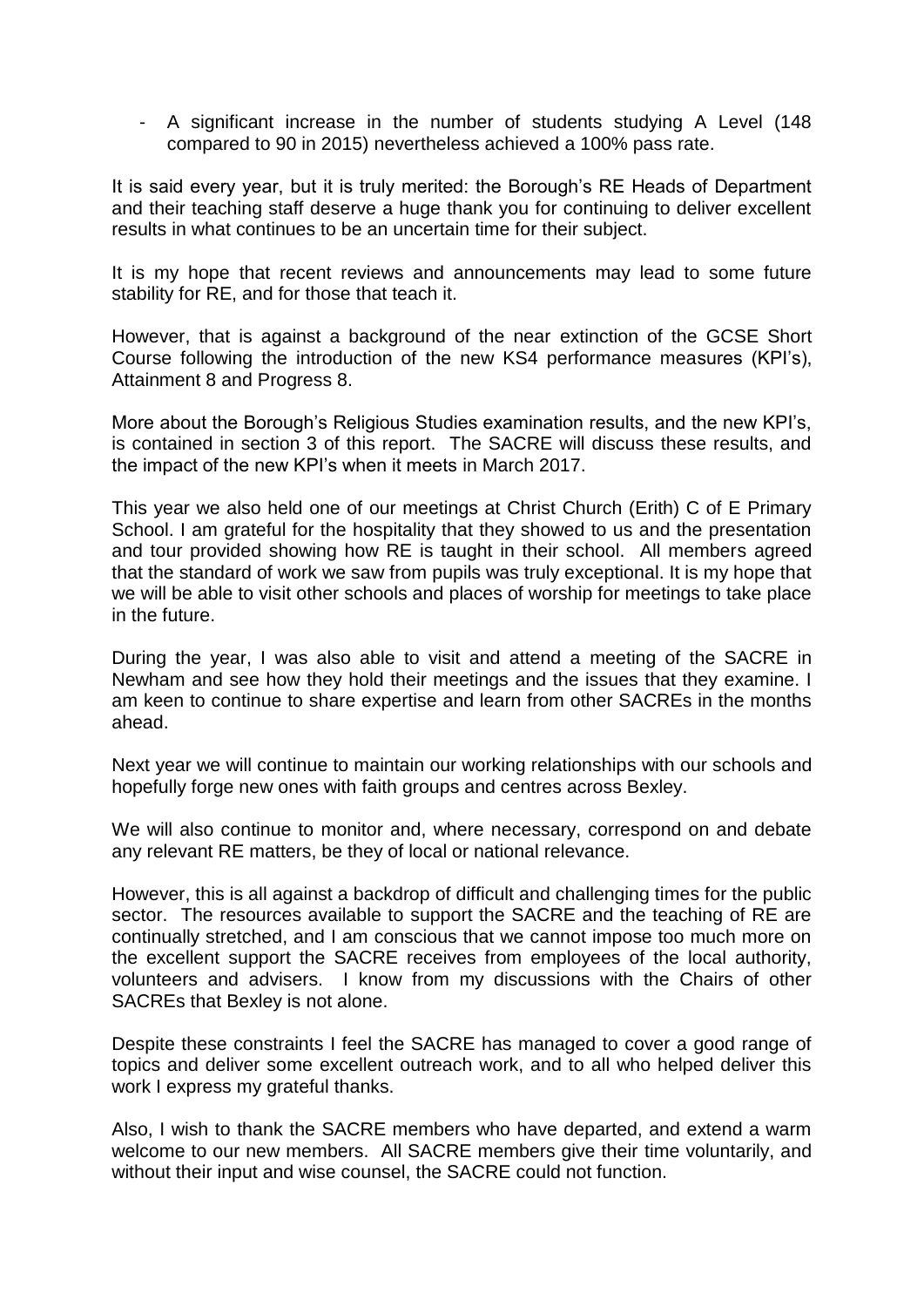- A significant increase in the number of students studying A Level (148 compared to 90 in 2015) nevertheless achieved a 100% pass rate.

It is said every year, but it is truly merited: the Borough's RE Heads of Department and their teaching staff deserve a huge thank you for continuing to deliver excellent results in what continues to be an uncertain time for their subject.

It is my hope that recent reviews and announcements may lead to some future stability for RE, and for those that teach it.

However, that is against a background of the near extinction of the GCSE Short Course following the introduction of the new KS4 performance measures (KPI's), Attainment 8 and Progress 8.

More about the Borough's Religious Studies examination results, and the new KPI's, is contained in section 3 of this report. The SACRE will discuss these results, and the impact of the new KPI's when it meets in March 2017.

This year we also held one of our meetings at Christ Church (Erith) C of E Primary School. I am grateful for the hospitality that they showed to us and the presentation and tour provided showing how RE is taught in their school. All members agreed that the standard of work we saw from pupils was truly exceptional. It is my hope that we will be able to visit other schools and places of worship for meetings to take place in the future.

During the year, I was also able to visit and attend a meeting of the SACRE in Newham and see how they hold their meetings and the issues that they examine. I am keen to continue to share expertise and learn from other SACREs in the months ahead.

Next year we will continue to maintain our working relationships with our schools and hopefully forge new ones with faith groups and centres across Bexley.

We will also continue to monitor and, where necessary, correspond on and debate any relevant RE matters, be they of local or national relevance.

However, this is all against a backdrop of difficult and challenging times for the public sector. The resources available to support the SACRE and the teaching of RE are continually stretched, and I am conscious that we cannot impose too much more on the excellent support the SACRE receives from employees of the local authority, volunteers and advisers. I know from my discussions with the Chairs of other SACREs that Bexley is not alone.

Despite these constraints I feel the SACRE has managed to cover a good range of topics and deliver some excellent outreach work, and to all who helped deliver this work I express my grateful thanks.

Also, I wish to thank the SACRE members who have departed, and extend a warm welcome to our new members. All SACRE members give their time voluntarily, and without their input and wise counsel, the SACRE could not function.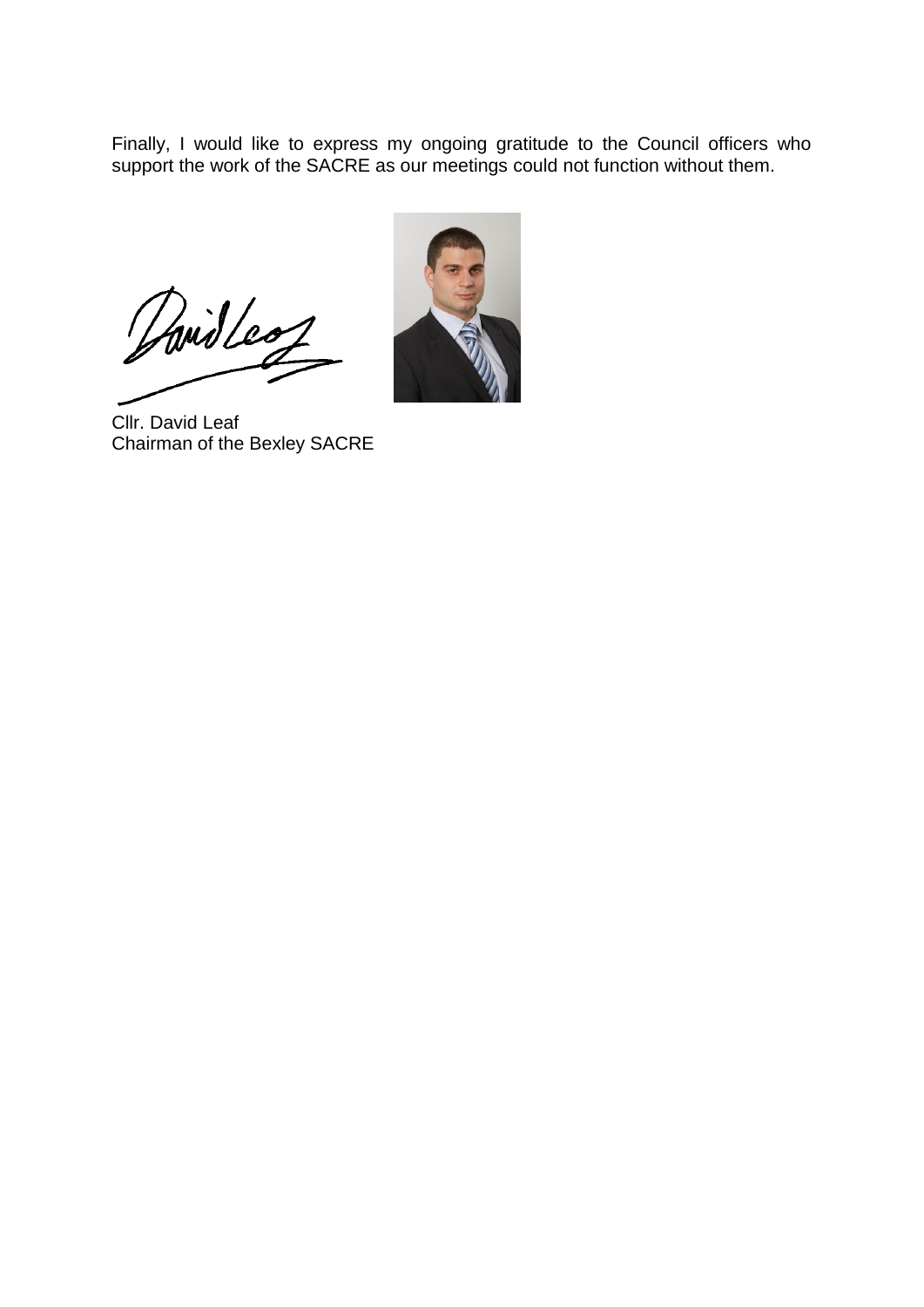Finally, I would like to express my ongoing gratitude to the Council officers who support the work of the SACRE as our meetings could not function without them.

Midleo



Cllr. David Leaf Chairman of the Bexley SACRE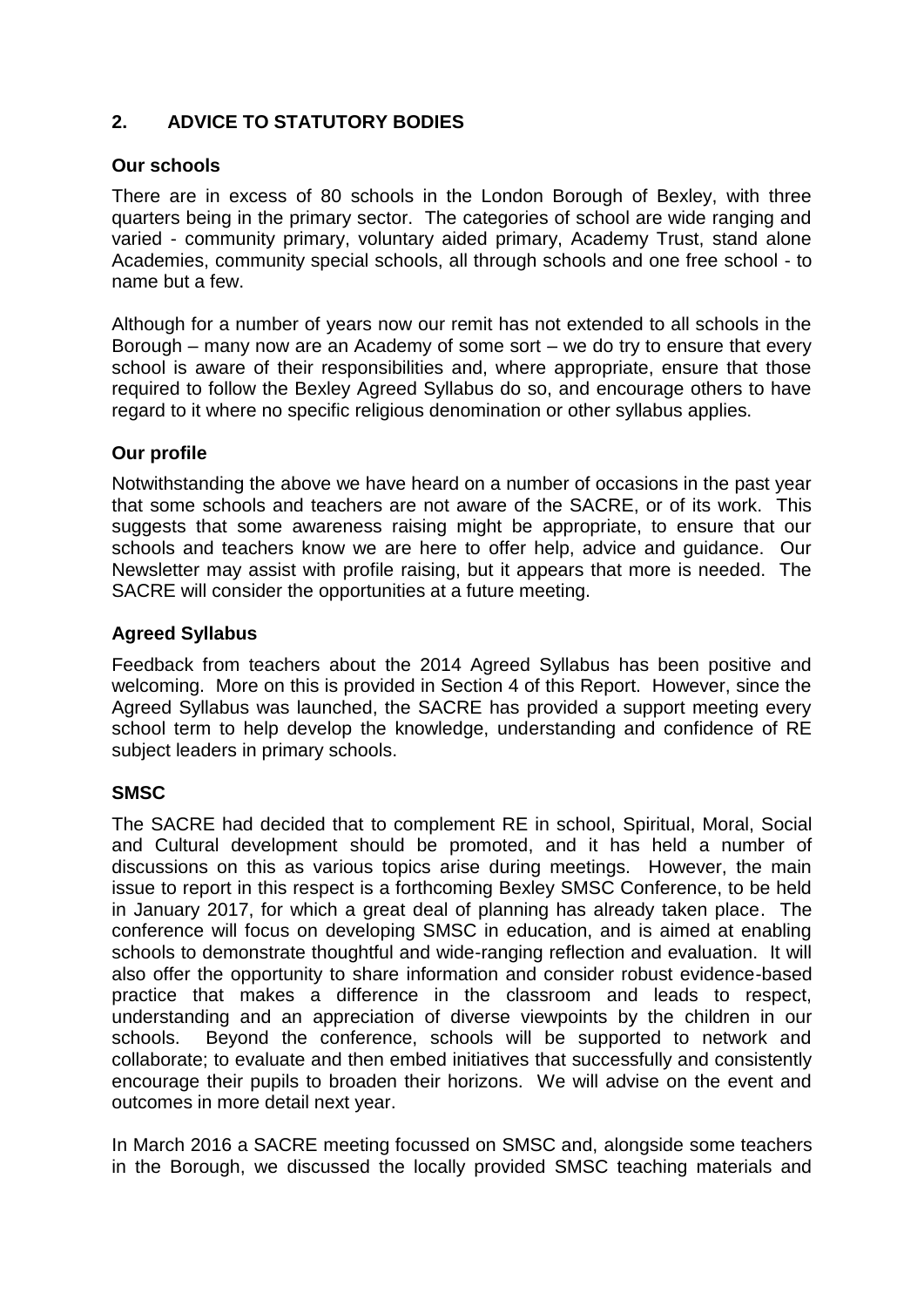# **2. ADVICE TO STATUTORY BODIES**

#### **Our schools**

There are in excess of 80 schools in the London Borough of Bexley, with three quarters being in the primary sector. The categories of school are wide ranging and varied - community primary, voluntary aided primary, Academy Trust, stand alone Academies, community special schools, all through schools and one free school - to name but a few.

Although for a number of years now our remit has not extended to all schools in the Borough – many now are an Academy of some sort – we do try to ensure that every school is aware of their responsibilities and, where appropriate, ensure that those required to follow the Bexley Agreed Syllabus do so, and encourage others to have regard to it where no specific religious denomination or other syllabus applies.

## **Our profile**

Notwithstanding the above we have heard on a number of occasions in the past year that some schools and teachers are not aware of the SACRE, or of its work. This suggests that some awareness raising might be appropriate, to ensure that our schools and teachers know we are here to offer help, advice and guidance. Our Newsletter may assist with profile raising, but it appears that more is needed. The SACRE will consider the opportunities at a future meeting.

## **Agreed Syllabus**

Feedback from teachers about the 2014 Agreed Syllabus has been positive and welcoming. More on this is provided in Section 4 of this Report. However, since the Agreed Syllabus was launched, the SACRE has provided a support meeting every school term to help develop the knowledge, understanding and confidence of RE subject leaders in primary schools.

#### **SMSC**

The SACRE had decided that to complement RE in school, Spiritual, Moral, Social and Cultural development should be promoted, and it has held a number of discussions on this as various topics arise during meetings. However, the main issue to report in this respect is a forthcoming Bexley SMSC Conference, to be held in January 2017, for which a great deal of planning has already taken place. The conference will focus on developing SMSC in education, and is aimed at enabling schools to demonstrate thoughtful and wide-ranging reflection and evaluation. It will also offer the opportunity to share information and consider robust evidence-based practice that makes a difference in the classroom and leads to respect, understanding and an appreciation of diverse viewpoints by the children in our schools. Beyond the conference, schools will be supported to network and collaborate; to evaluate and then embed initiatives that successfully and consistently encourage their pupils to broaden their horizons. We will advise on the event and outcomes in more detail next year.

In March 2016 a SACRE meeting focussed on SMSC and, alongside some teachers in the Borough, we discussed the locally provided SMSC teaching materials and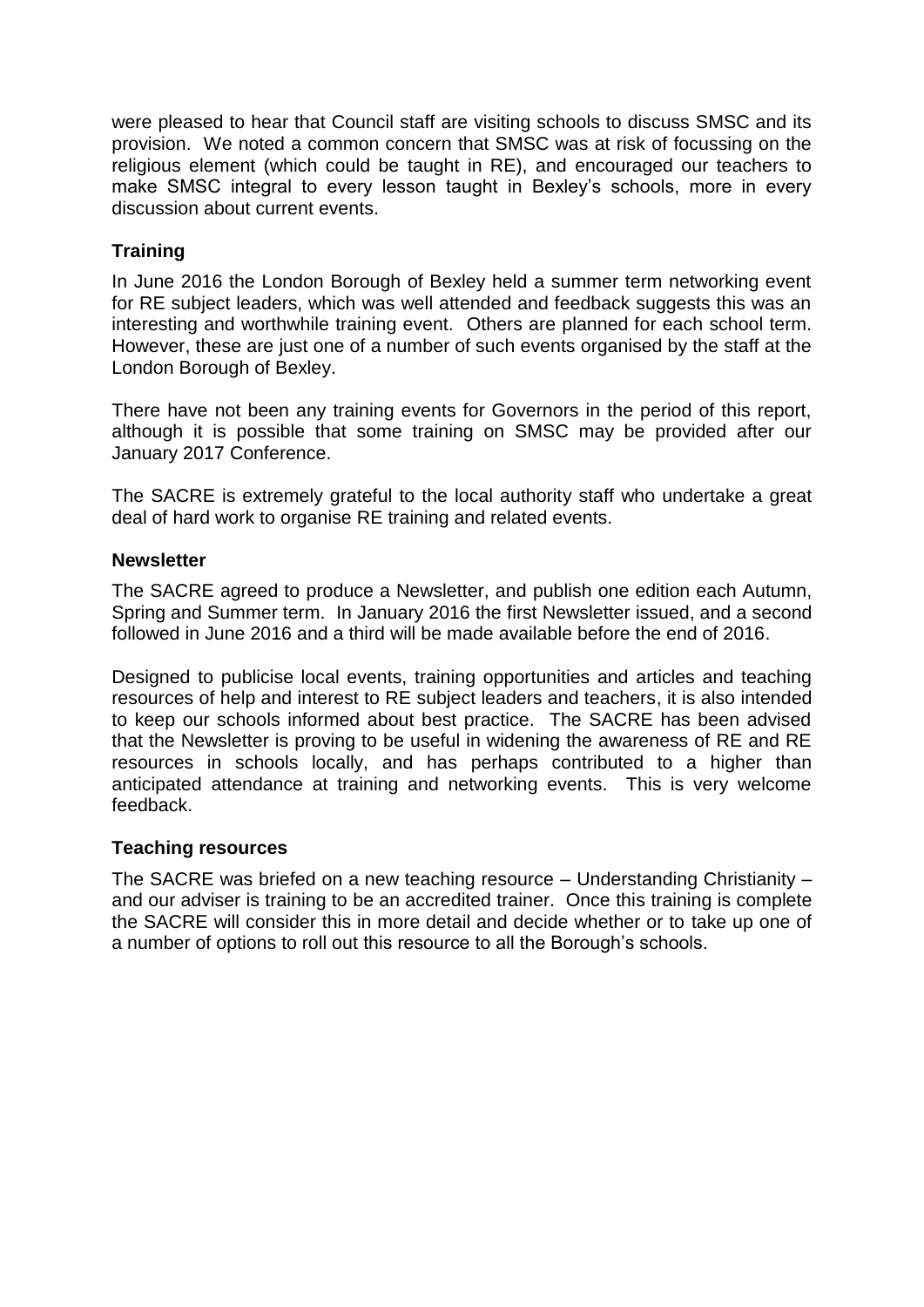were pleased to hear that Council staff are visiting schools to discuss SMSC and its provision. We noted a common concern that SMSC was at risk of focussing on the religious element (which could be taught in RE), and encouraged our teachers to make SMSC integral to every lesson taught in Bexley's schools, more in every discussion about current events.

# **Training**

In June 2016 the London Borough of Bexley held a summer term networking event for RE subject leaders, which was well attended and feedback suggests this was an interesting and worthwhile training event. Others are planned for each school term. However, these are just one of a number of such events organised by the staff at the London Borough of Bexley.

There have not been any training events for Governors in the period of this report, although it is possible that some training on SMSC may be provided after our January 2017 Conference.

The SACRE is extremely grateful to the local authority staff who undertake a great deal of hard work to organise RE training and related events.

#### **Newsletter**

The SACRE agreed to produce a Newsletter, and publish one edition each Autumn, Spring and Summer term. In January 2016 the first Newsletter issued, and a second followed in June 2016 and a third will be made available before the end of 2016.

Designed to publicise local events, training opportunities and articles and teaching resources of help and interest to RE subject leaders and teachers, it is also intended to keep our schools informed about best practice. The SACRE has been advised that the Newsletter is proving to be useful in widening the awareness of RE and RE resources in schools locally, and has perhaps contributed to a higher than anticipated attendance at training and networking events. This is very welcome feedback.

#### **Teaching resources**

The SACRE was briefed on a new teaching resource – Understanding Christianity – and our adviser is training to be an accredited trainer. Once this training is complete the SACRE will consider this in more detail and decide whether or to take up one of a number of options to roll out this resource to all the Borough's schools.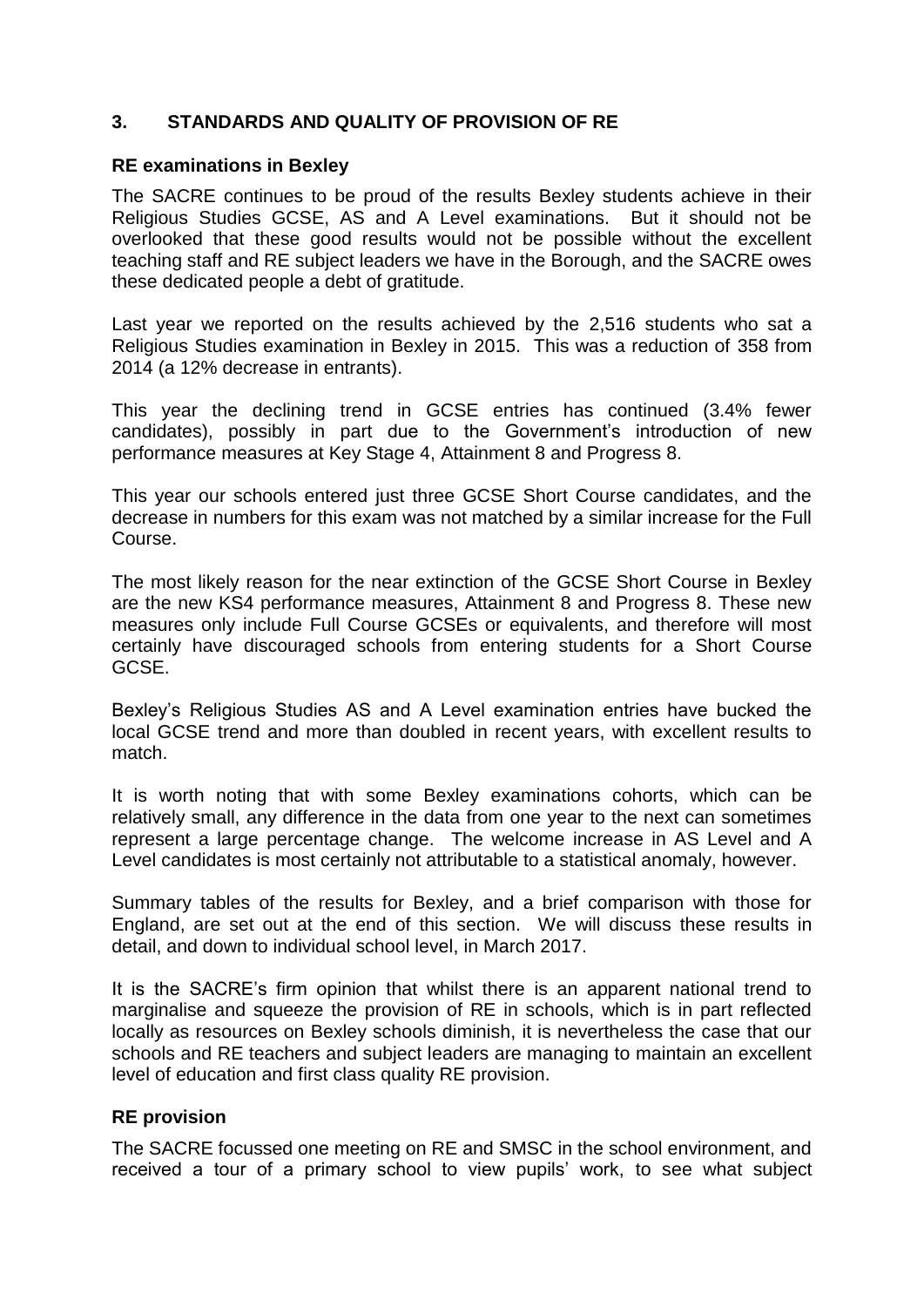# **3. STANDARDS AND QUALITY OF PROVISION OF RE**

#### **RE examinations in Bexley**

The SACRE continues to be proud of the results Bexley students achieve in their Religious Studies GCSE, AS and A Level examinations. But it should not be overlooked that these good results would not be possible without the excellent teaching staff and RE subject leaders we have in the Borough, and the SACRE owes these dedicated people a debt of gratitude.

Last year we reported on the results achieved by the 2,516 students who sat a Religious Studies examination in Bexley in 2015. This was a reduction of 358 from 2014 (a 12% decrease in entrants).

This year the declining trend in GCSE entries has continued (3.4% fewer candidates), possibly in part due to the Government's introduction of new performance measures at Key Stage 4, Attainment 8 and Progress 8.

This year our schools entered just three GCSE Short Course candidates, and the decrease in numbers for this exam was not matched by a similar increase for the Full Course.

The most likely reason for the near extinction of the GCSE Short Course in Bexley are the new KS4 performance measures, Attainment 8 and Progress 8. These new measures only include Full Course GCSEs or equivalents, and therefore will most certainly have discouraged schools from entering students for a Short Course GCSE.

Bexley's Religious Studies AS and A Level examination entries have bucked the local GCSE trend and more than doubled in recent years, with excellent results to match.

It is worth noting that with some Bexley examinations cohorts, which can be relatively small, any difference in the data from one year to the next can sometimes represent a large percentage change. The welcome increase in AS Level and A Level candidates is most certainly not attributable to a statistical anomaly, however.

Summary tables of the results for Bexley, and a brief comparison with those for England, are set out at the end of this section. We will discuss these results in detail, and down to individual school level, in March 2017.

It is the SACRE's firm opinion that whilst there is an apparent national trend to marginalise and squeeze the provision of RE in schools, which is in part reflected locally as resources on Bexley schools diminish, it is nevertheless the case that our schools and RE teachers and subject leaders are managing to maintain an excellent level of education and first class quality RE provision.

#### **RE provision**

The SACRE focussed one meeting on RE and SMSC in the school environment, and received a tour of a primary school to view pupils' work, to see what subject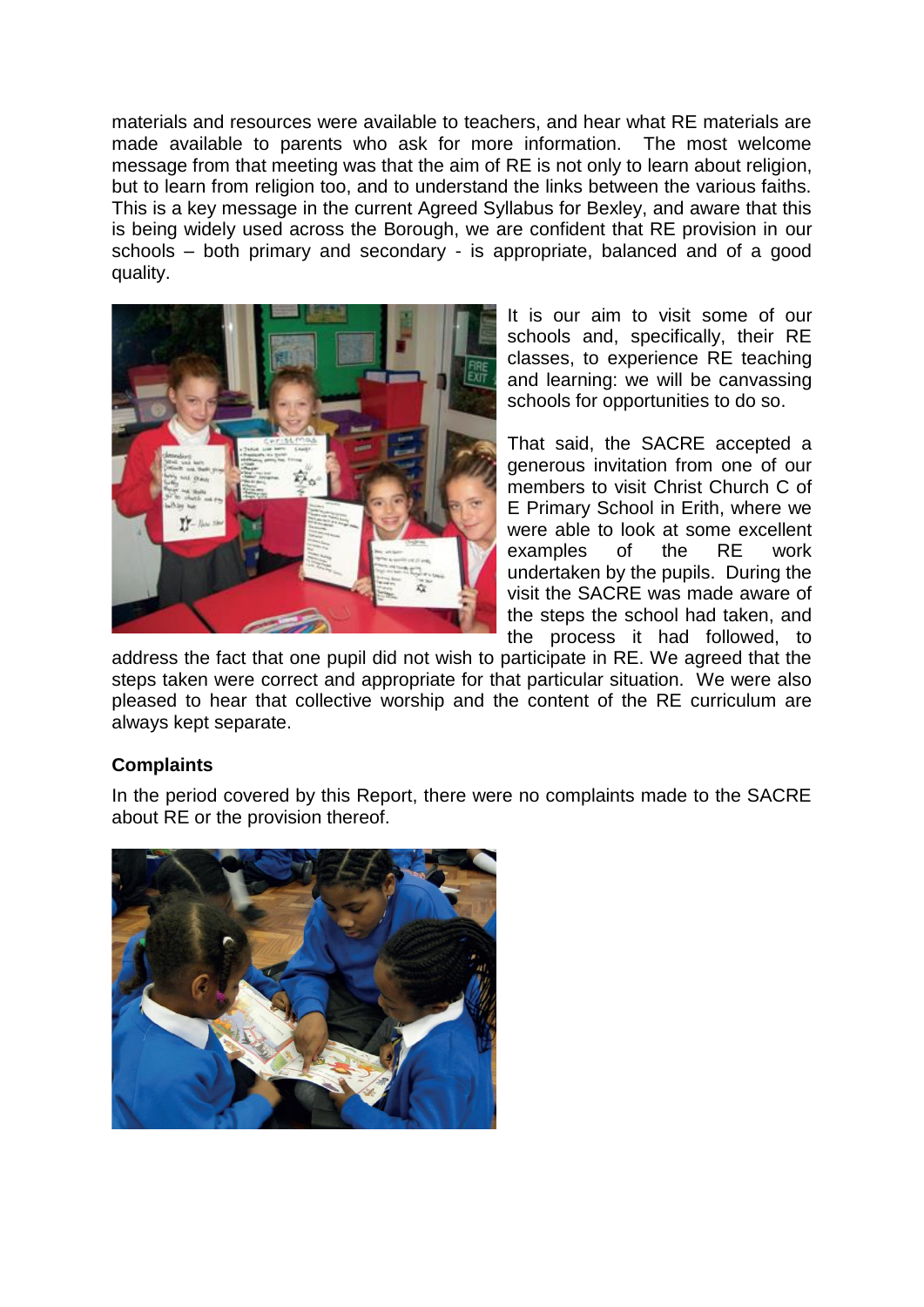materials and resources were available to teachers, and hear what RE materials are made available to parents who ask for more information. The most welcome message from that meeting was that the aim of RE is not only to learn about religion, but to learn from religion too, and to understand the links between the various faiths. This is a key message in the current Agreed Syllabus for Bexley, and aware that this is being widely used across the Borough, we are confident that RE provision in our schools – both primary and secondary - is appropriate, balanced and of a good quality.



It is our aim to visit some of our schools and, specifically, their RE classes, to experience RE teaching and learning: we will be canvassing schools for opportunities to do so.

That said, the SACRE accepted a generous invitation from one of our members to visit Christ Church C of E Primary School in Erith, where we were able to look at some excellent examples of the RE work undertaken by the pupils. During the visit the SACRE was made aware of the steps the school had taken, and the process it had followed, to

address the fact that one pupil did not wish to participate in RE. We agreed that the steps taken were correct and appropriate for that particular situation. We were also pleased to hear that collective worship and the content of the RE curriculum are always kept separate.

#### **Complaints**

In the period covered by this Report, there were no complaints made to the SACRE about RE or the provision thereof.

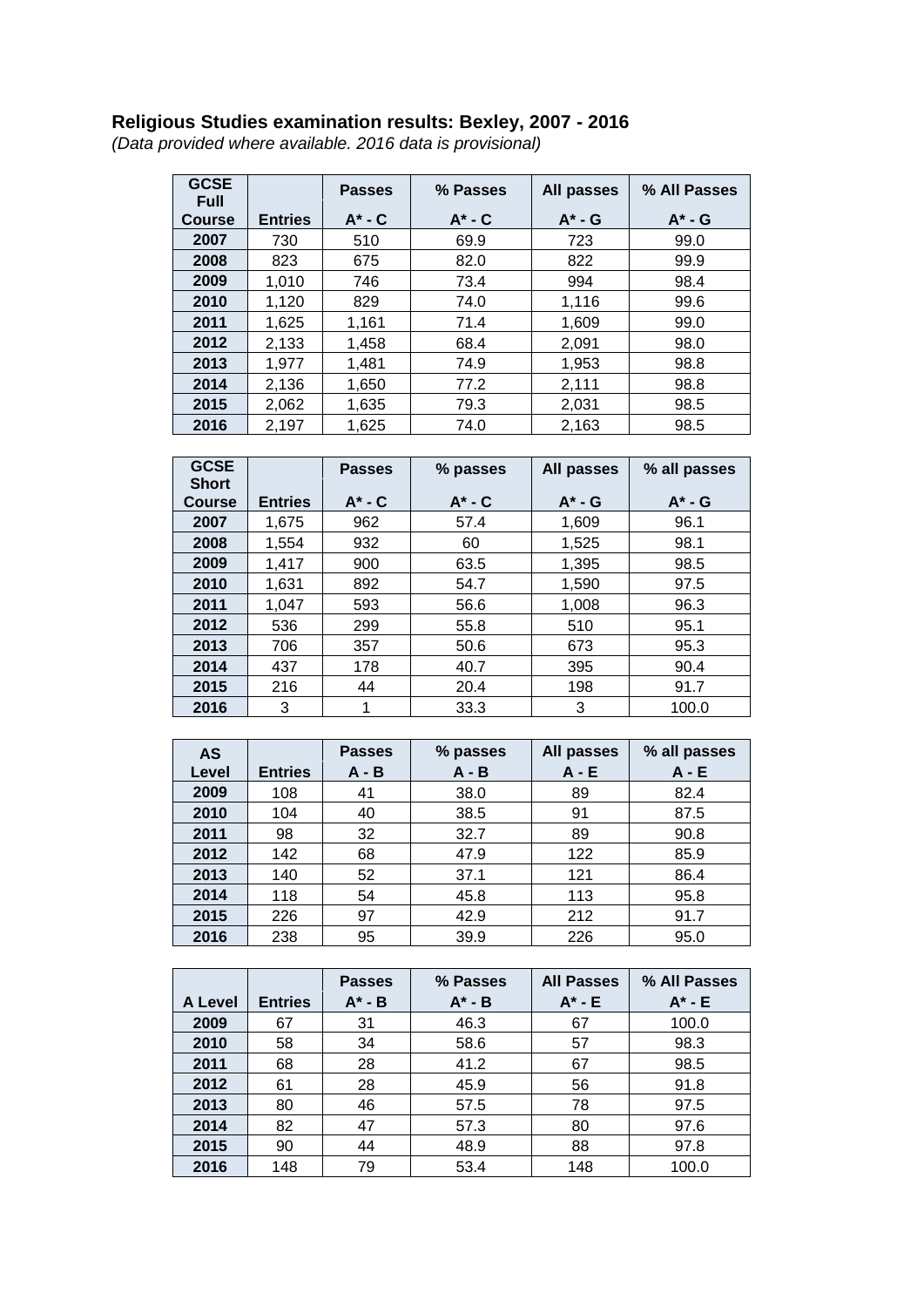#### **Religious Studies examination results: Bexley, 2007 - 2016**

*(Data provided where available. 2016 data is provisional)*

| <b>GCSE</b><br><b>Full</b> |                | <b>Passes</b> | % Passes    | All passes | % All Passes |
|----------------------------|----------------|---------------|-------------|------------|--------------|
| <b>Course</b>              | <b>Entries</b> | $A^*$ - $C$   | $A^*$ - $C$ | $A^* - G$  | $A^* - G$    |
| 2007                       | 730            | 510           | 69.9        | 723        | 99.0         |
| 2008                       | 823            | 675           | 82.0        | 822        | 99.9         |
| 2009                       | 1.010          | 746           | 73.4        | 994        | 98.4         |
| 2010                       | 1,120          | 829           | 74.0        | 1,116      | 99.6         |
| 2011                       | 1,625          | 1,161         | 71.4        | 1,609      | 99.0         |
| 2012                       | 2,133          | 1,458         | 68.4        | 2,091      | 98.0         |
| 2013                       | 1,977          | 1,481         | 74.9        | 1,953      | 98.8         |
| 2014                       | 2,136          | 1,650         | 77.2        | 2,111      | 98.8         |
| 2015                       | 2,062          | 1,635         | 79.3        | 2,031      | 98.5         |
| 2016                       | 2,197          | 1,625         | 74.0        | 2,163      | 98.5         |

| <b>GCSE</b><br><b>Short</b> |                | <b>Passes</b> | % passes    | All passes | % all passes |
|-----------------------------|----------------|---------------|-------------|------------|--------------|
| <b>Course</b>               | <b>Entries</b> | $A^*$ - $C$   | $A^*$ - $C$ | $A^* - G$  | $A^*$ - G    |
| 2007                        | 1.675          | 962           | 57.4        | 1,609      | 96.1         |
| 2008                        | 1.554          | 932           | 60          | 1,525      | 98.1         |
| 2009                        | 1,417          | 900           | 63.5        | 1,395      | 98.5         |
| 2010                        | 1,631          | 892           | 54.7        | 1,590      | 97.5         |
| 2011                        | 1.047          | 593           | 56.6        | 1,008      | 96.3         |
| 2012                        | 536            | 299           | 55.8        | 510        | 95.1         |
| 2013                        | 706            | 357           | 50.6        | 673        | 95.3         |
| 2014                        | 437            | 178           | 40.7        | 395        | 90.4         |
| 2015                        | 216            | 44            | 20.4        | 198        | 91.7         |
| 2016                        | 3              | 1             | 33.3        | 3          | 100.0        |

| <b>AS</b> |                | <b>Passes</b> | % passes | All passes | % all passes |
|-----------|----------------|---------------|----------|------------|--------------|
| Level     | <b>Entries</b> | A - B         | $A - B$  | $A - E$    | $A - E$      |
| 2009      | 108            | 41            | 38.0     | 89         | 82.4         |
| 2010      | 104            | 40            | 38.5     | 91         | 87.5         |
| 2011      | 98             | 32            | 32.7     | 89         | 90.8         |
| 2012      | 142            | 68            | 47.9     | 122        | 85.9         |
| 2013      | 140            | 52            | 37.1     | 121        | 86.4         |
| 2014      | 118            | 54            | 45.8     | 113        | 95.8         |
| 2015      | 226            | 97            | 42.9     | 212        | 91.7         |
| 2016      | 238            | 95            | 39.9     | 226        | 95.0         |

| A Level | <b>Entries</b> | <b>Passes</b><br>$A^* - B$ | % Passes<br>$A^*$ - $B$ | <b>All Passes</b><br>$A^*$ - $E$ | % All Passes<br>$A^*$ - $E$ |
|---------|----------------|----------------------------|-------------------------|----------------------------------|-----------------------------|
| 2009    | 67             | 31                         | 46.3                    | 67                               | 100.0                       |
| 2010    | 58             | 34                         | 58.6                    | 57                               | 98.3                        |
| 2011    | 68             | 28                         | 41.2                    | 67                               | 98.5                        |
| 2012    | 61             | 28                         | 45.9                    | 56                               | 91.8                        |
| 2013    | 80             | 46                         | 57.5                    | 78                               | 97.5                        |
| 2014    | 82             | 47                         | 57.3                    | 80                               | 97.6                        |
| 2015    | 90             | 44                         | 48.9                    | 88                               | 97.8                        |
| 2016    | 148            | 79                         | 53.4                    | 148                              | 100.0                       |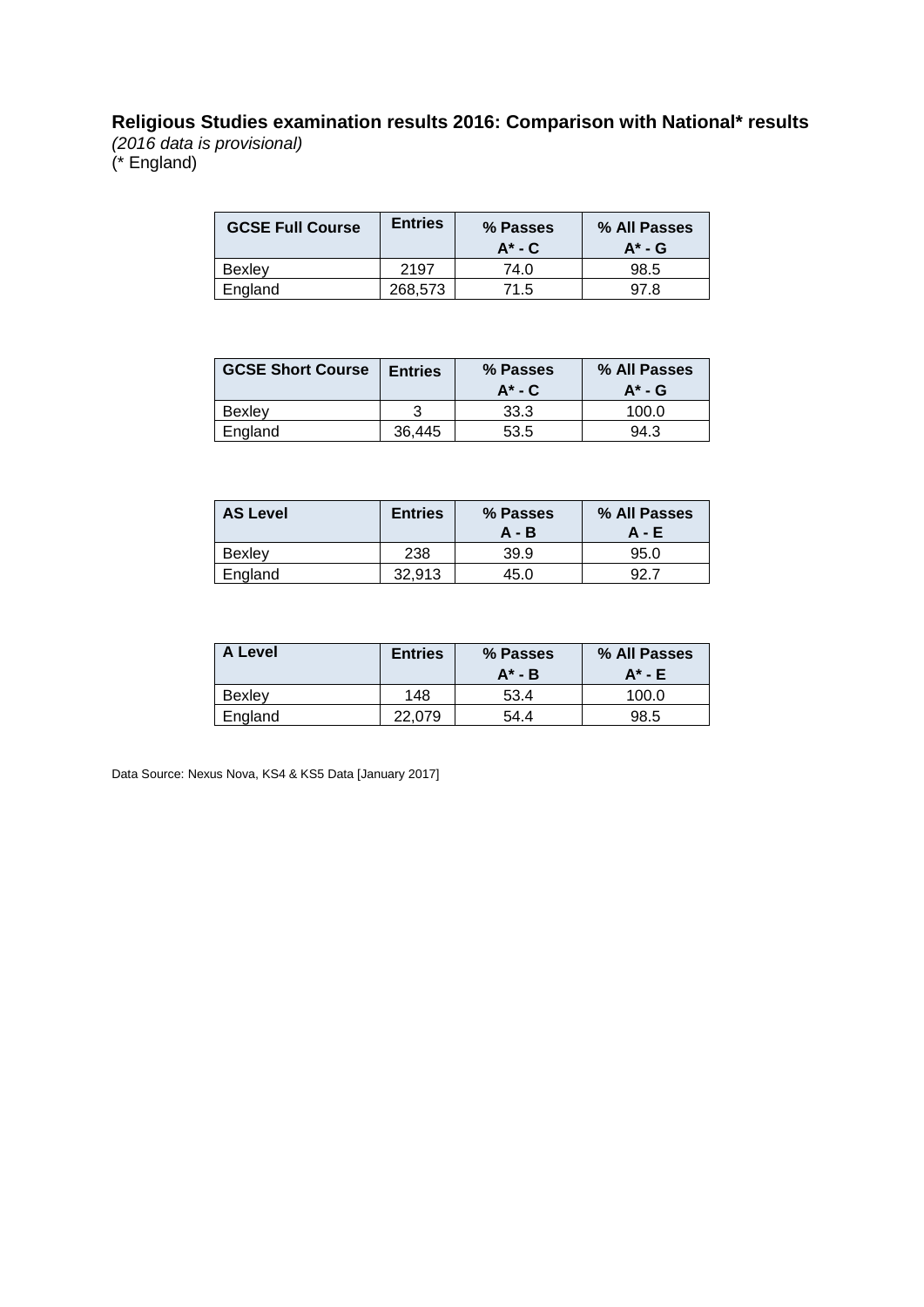#### **Religious Studies examination results 2016: Comparison with National\* results**

*(2016 data is provisional)* (\* England)

| <b>GCSE Full Course</b> | <b>Entries</b> | % Passes<br>$A^*$ - $C$ | % All Passes<br>$A^* - G$ |
|-------------------------|----------------|-------------------------|---------------------------|
| Bexlev                  | 2197           | 74.0                    | 98.5                      |
| England                 | 268,573        | 71.5                    | 97 R                      |

| <b>GCSE Short Course</b> | <b>Entries</b> | % Passes<br>$A^* - C$ | % All Passes<br>$A^*$ - G |
|--------------------------|----------------|-----------------------|---------------------------|
| Bexley                   | 3              | 33.3                  | 100.0                     |
| England                  | 36.445         | 53.5                  | 94.3                      |

| <b>AS Level</b> | <b>Entries</b> | % Passes<br>A - B | % All Passes<br>A - E |
|-----------------|----------------|-------------------|-----------------------|
| Bexlev          | 238            | 39.9              | 95.0                  |
| England         | 32.913         | 45.0              | Q9.                   |

| A Level | <b>Entries</b> | % Passes<br>$A^* - B$ | % All Passes<br>$A^* - E$ |
|---------|----------------|-----------------------|---------------------------|
| Bexley  | 148            | 53.4                  | 100.0                     |
| England | 22.079         | 54.4                  | 98.5                      |

Data Source: Nexus Nova, KS4 & KS5 Data [January 2017]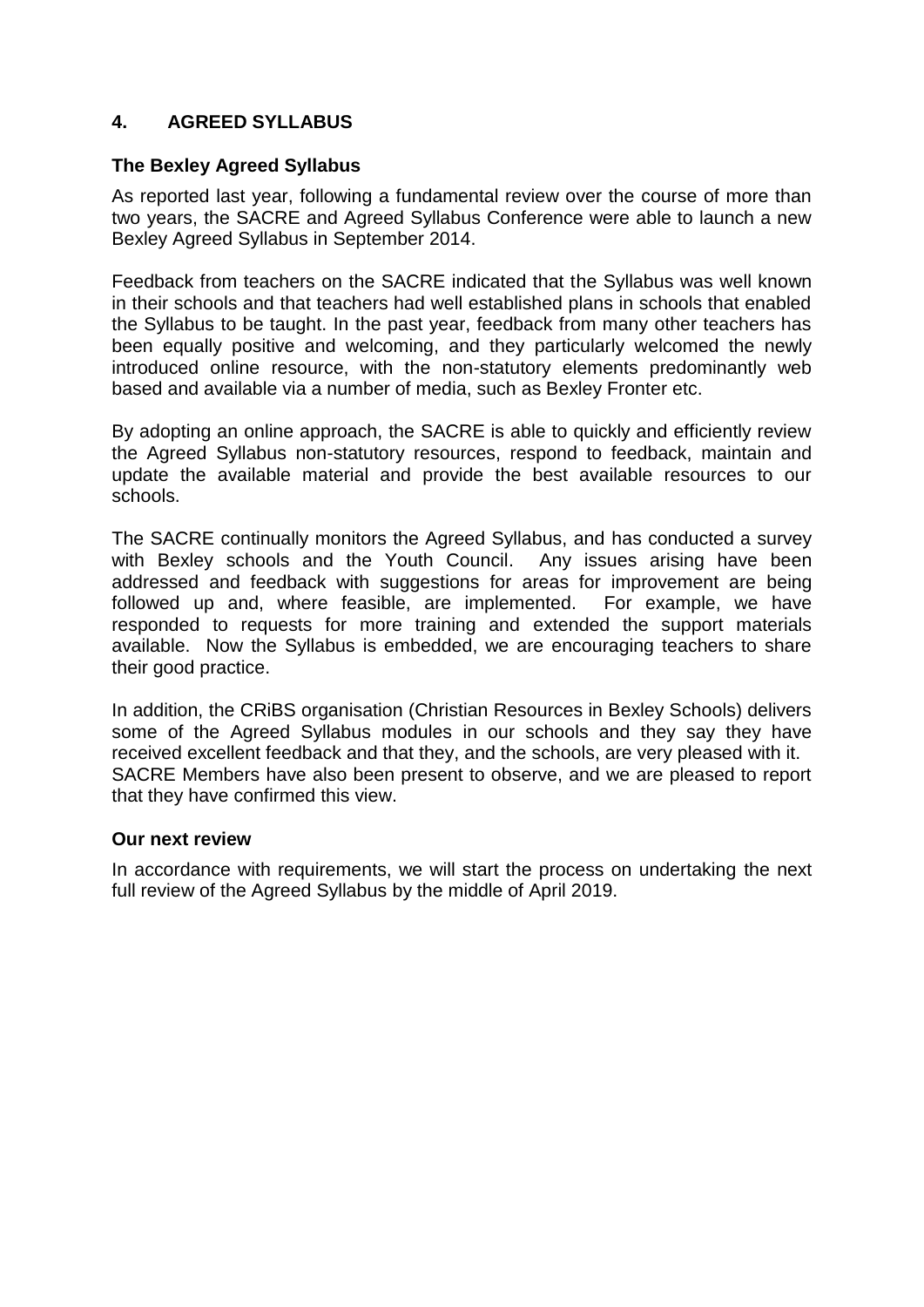# **4. AGREED SYLLABUS**

#### **The Bexley Agreed Syllabus**

As reported last year, following a fundamental review over the course of more than two years, the SACRE and Agreed Syllabus Conference were able to launch a new Bexley Agreed Syllabus in September 2014.

Feedback from teachers on the SACRE indicated that the Syllabus was well known in their schools and that teachers had well established plans in schools that enabled the Syllabus to be taught. In the past year, feedback from many other teachers has been equally positive and welcoming, and they particularly welcomed the newly introduced online resource, with the non-statutory elements predominantly web based and available via a number of media, such as Bexley Fronter etc.

By adopting an online approach, the SACRE is able to quickly and efficiently review the Agreed Syllabus non-statutory resources, respond to feedback, maintain and update the available material and provide the best available resources to our schools.

The SACRE continually monitors the Agreed Syllabus, and has conducted a survey with Bexley schools and the Youth Council. Any issues arising have been addressed and feedback with suggestions for areas for improvement are being followed up and, where feasible, are implemented. For example, we have responded to requests for more training and extended the support materials available. Now the Syllabus is embedded, we are encouraging teachers to share their good practice.

In addition, the CRiBS organisation (Christian Resources in Bexley Schools) delivers some of the Agreed Syllabus modules in our schools and they say they have received excellent feedback and that they, and the schools, are very pleased with it. SACRE Members have also been present to observe, and we are pleased to report that they have confirmed this view.

#### **Our next review**

In accordance with requirements, we will start the process on undertaking the next full review of the Agreed Syllabus by the middle of April 2019.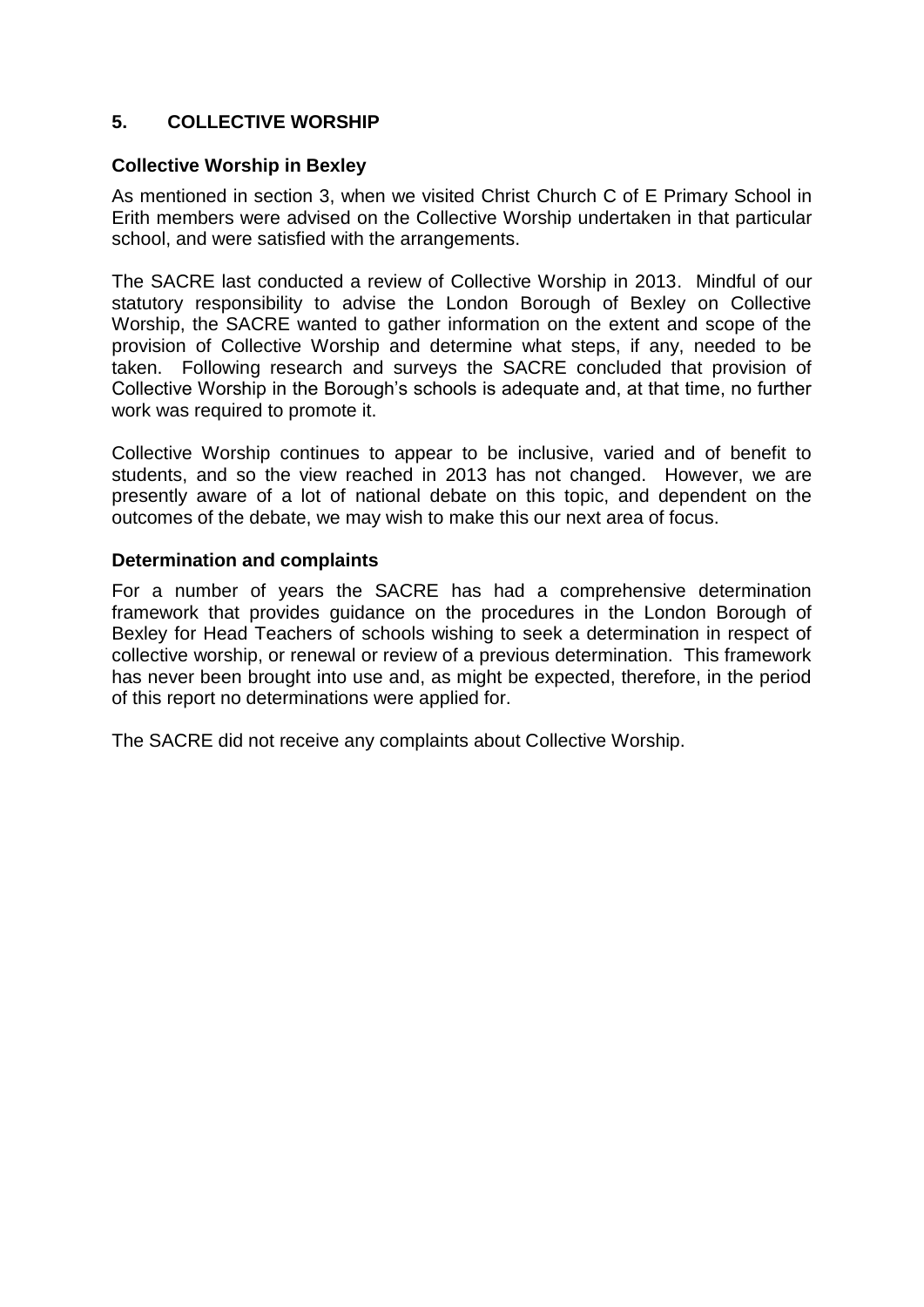# **5. COLLECTIVE WORSHIP**

#### **Collective Worship in Bexley**

As mentioned in section 3, when we visited Christ Church C of E Primary School in Erith members were advised on the Collective Worship undertaken in that particular school, and were satisfied with the arrangements.

The SACRE last conducted a review of Collective Worship in 2013. Mindful of our statutory responsibility to advise the London Borough of Bexley on Collective Worship, the SACRE wanted to gather information on the extent and scope of the provision of Collective Worship and determine what steps, if any, needed to be taken. Following research and surveys the SACRE concluded that provision of Collective Worship in the Borough's schools is adequate and, at that time, no further work was required to promote it.

Collective Worship continues to appear to be inclusive, varied and of benefit to students, and so the view reached in 2013 has not changed. However, we are presently aware of a lot of national debate on this topic, and dependent on the outcomes of the debate, we may wish to make this our next area of focus.

#### **Determination and complaints**

For a number of years the SACRE has had a comprehensive determination framework that provides guidance on the procedures in the London Borough of Bexley for Head Teachers of schools wishing to seek a determination in respect of collective worship, or renewal or review of a previous determination. This framework has never been brought into use and, as might be expected, therefore, in the period of this report no determinations were applied for.

The SACRE did not receive any complaints about Collective Worship.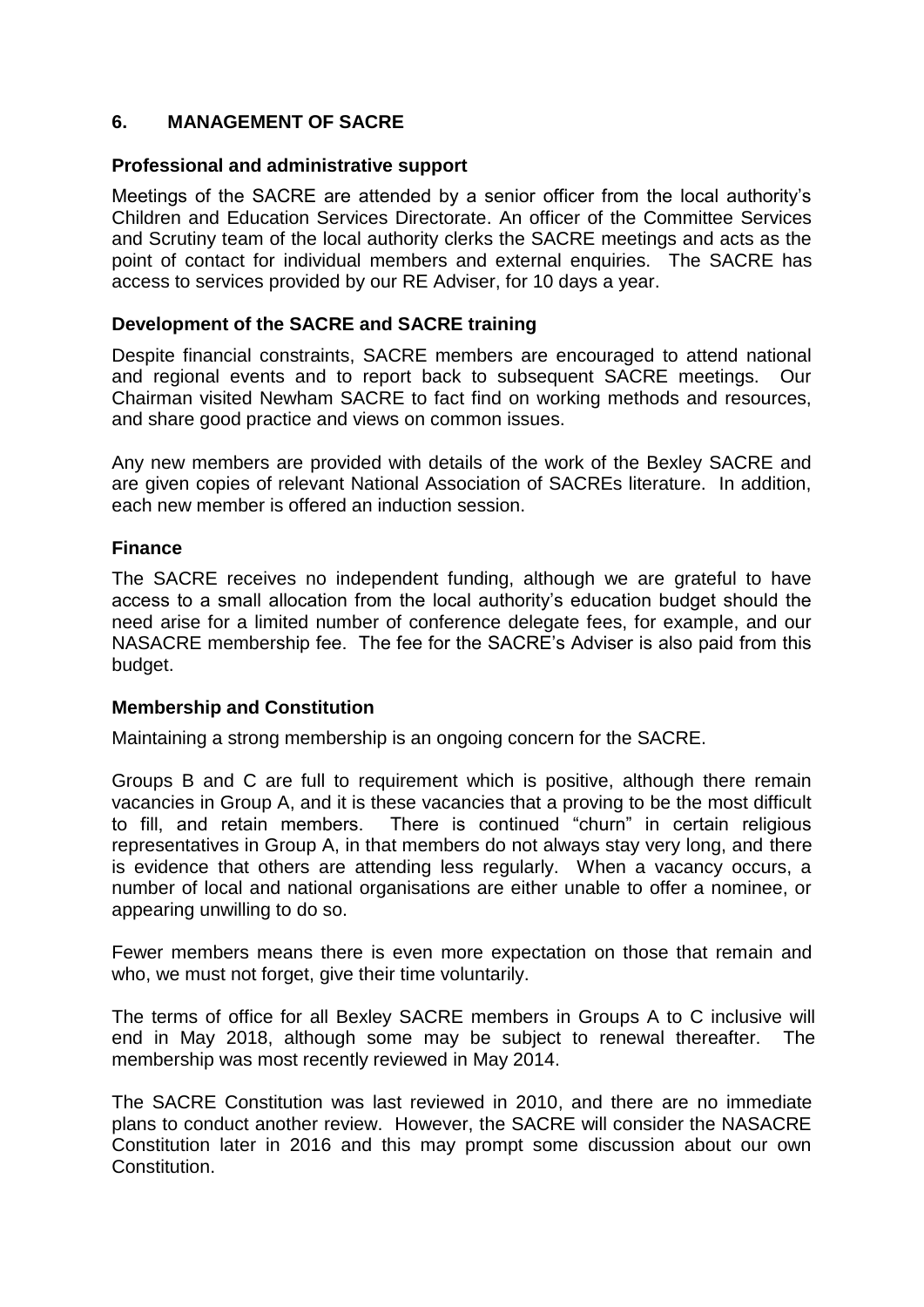# **6. MANAGEMENT OF SACRE**

#### **Professional and administrative support**

Meetings of the SACRE are attended by a senior officer from the local authority's Children and Education Services Directorate. An officer of the Committee Services and Scrutiny team of the local authority clerks the SACRE meetings and acts as the point of contact for individual members and external enquiries. The SACRE has access to services provided by our RE Adviser, for 10 days a year.

#### **Development of the SACRE and SACRE training**

Despite financial constraints, SACRE members are encouraged to attend national and regional events and to report back to subsequent SACRE meetings. Our Chairman visited Newham SACRE to fact find on working methods and resources, and share good practice and views on common issues.

Any new members are provided with details of the work of the Bexley SACRE and are given copies of relevant National Association of SACREs literature. In addition, each new member is offered an induction session.

#### **Finance**

The SACRE receives no independent funding, although we are grateful to have access to a small allocation from the local authority's education budget should the need arise for a limited number of conference delegate fees, for example, and our NASACRE membership fee. The fee for the SACRE's Adviser is also paid from this budget.

#### **Membership and Constitution**

Maintaining a strong membership is an ongoing concern for the SACRE.

Groups B and C are full to requirement which is positive, although there remain vacancies in Group A, and it is these vacancies that a proving to be the most difficult to fill, and retain members. There is continued "churn" in certain religious representatives in Group A, in that members do not always stay very long, and there is evidence that others are attending less regularly. When a vacancy occurs, a number of local and national organisations are either unable to offer a nominee, or appearing unwilling to do so.

Fewer members means there is even more expectation on those that remain and who, we must not forget, give their time voluntarily.

The terms of office for all Bexley SACRE members in Groups A to C inclusive will end in May 2018, although some may be subject to renewal thereafter. The membership was most recently reviewed in May 2014.

The SACRE Constitution was last reviewed in 2010, and there are no immediate plans to conduct another review. However, the SACRE will consider the NASACRE Constitution later in 2016 and this may prompt some discussion about our own Constitution.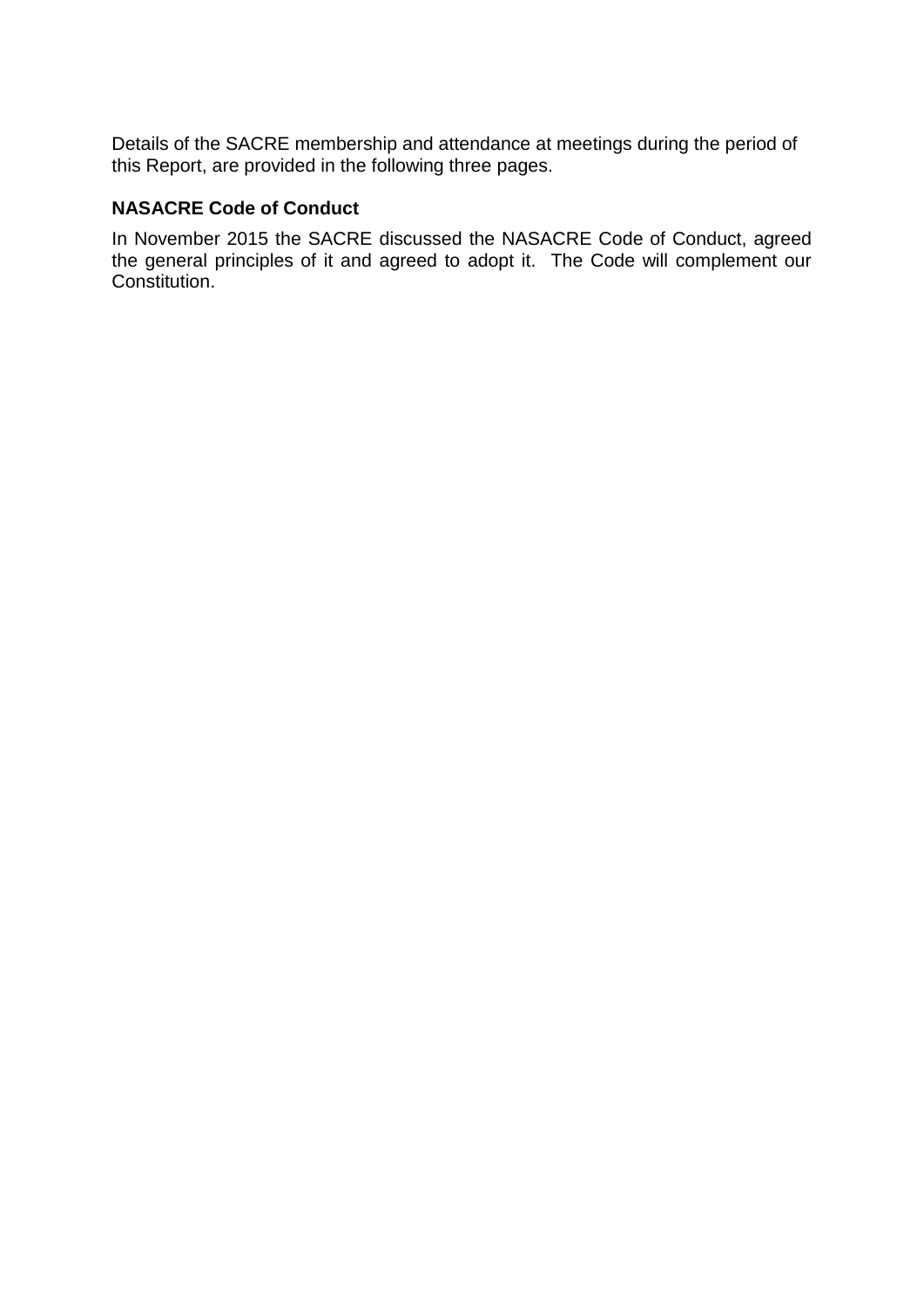Details of the SACRE membership and attendance at meetings during the period of this Report, are provided in the following three pages.

# **NASACRE Code of Conduct**

In November 2015 the SACRE discussed the NASACRE Code of Conduct, agreed the general principles of it and agreed to adopt it. The Code will complement our Constitution.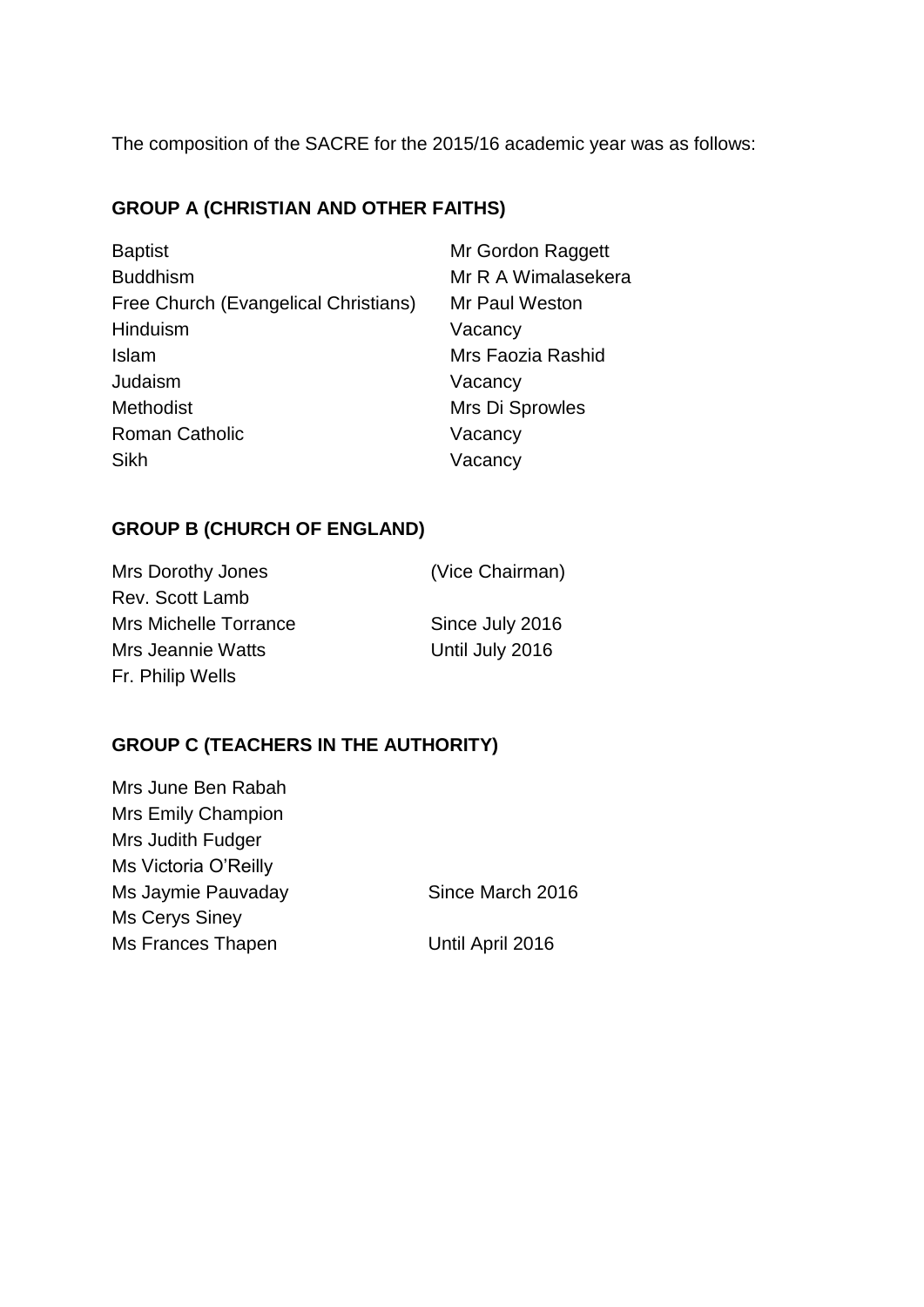The composition of the SACRE for the 2015/16 academic year was as follows:

# **GROUP A (CHRISTIAN AND OTHER FAITHS)**

| <b>Baptist</b>                       | Mr Gordon Raggett   |
|--------------------------------------|---------------------|
| <b>Buddhism</b>                      | Mr R A Wimalasekera |
| Free Church (Evangelical Christians) | Mr Paul Weston      |
| Hinduism                             | Vacancy             |
| Islam                                | Mrs Faozia Rashid   |
| Judaism                              | Vacancy             |
| <b>Methodist</b>                     | Mrs Di Sprowles     |
| <b>Roman Catholic</b>                | Vacancy             |
| Sikh                                 | Vacancy             |

# **GROUP B (CHURCH OF ENGLAND)**

| Mrs Dorothy Jones        | (Vice Chairman) |
|--------------------------|-----------------|
| Rev. Scott Lamb          |                 |
| Mrs Michelle Torrance    | Since July 2016 |
| <b>Mrs Jeannie Watts</b> | Until July 2016 |
| Fr. Philip Wells         |                 |

# **GROUP C (TEACHERS IN THE AUTHORITY)**

| Mrs June Ben Rabah        |                  |
|---------------------------|------------------|
| <b>Mrs Emily Champion</b> |                  |
| Mrs Judith Fudger         |                  |
| Ms Victoria O'Reilly      |                  |
| Ms Jaymie Pauvaday        | Since March 2016 |
| Ms Cerys Siney            |                  |
| Ms Frances Thapen         | Until April 2016 |
|                           |                  |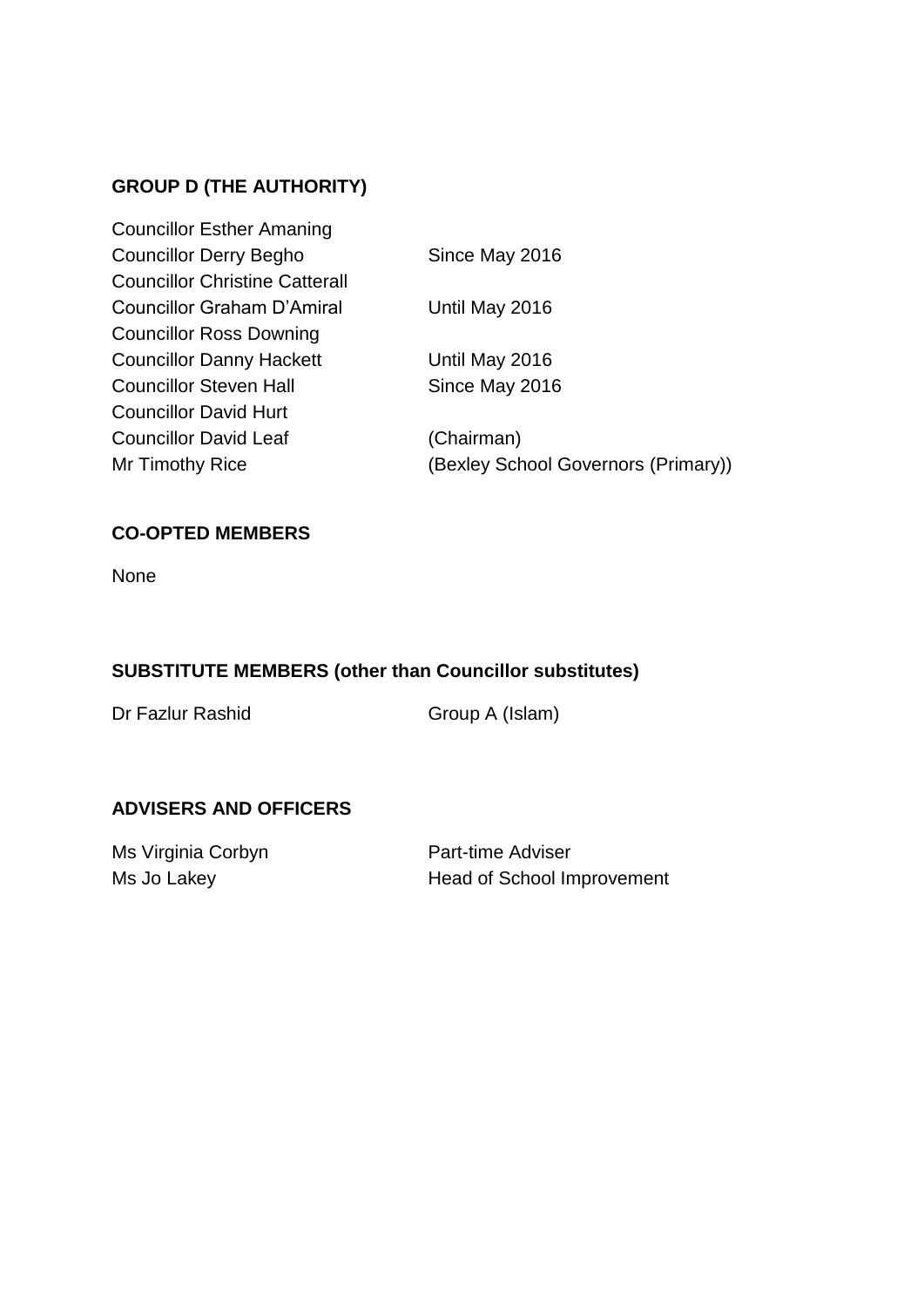# **GROUP D (THE AUTHORITY)**

| <b>Councillor Esther Amaning</b>      |                                     |
|---------------------------------------|-------------------------------------|
| <b>Councillor Derry Begho</b>         | Since May 2016                      |
| <b>Councillor Christine Catterall</b> |                                     |
| <b>Councillor Graham D'Amiral</b>     | Until May 2016                      |
| <b>Councillor Ross Downing</b>        |                                     |
| <b>Councillor Danny Hackett</b>       | Until May 2016                      |
| <b>Councillor Steven Hall</b>         | Since May 2016                      |
| <b>Councillor David Hurt</b>          |                                     |
| <b>Councillor David Leaf</b>          | (Chairman)                          |
| Mr Timothy Rice                       | (Bexley School Governors (Primary)) |

# **CO-OPTED MEMBERS**

None

# **SUBSTITUTE MEMBERS (other than Councillor substitutes)**

Dr Fazlur Rashid Group A (Islam)

# **ADVISERS AND OFFICERS**

Ms Virginia Corbyn Part-time Adviser

Ms Jo Lakey **Head of School Improvement**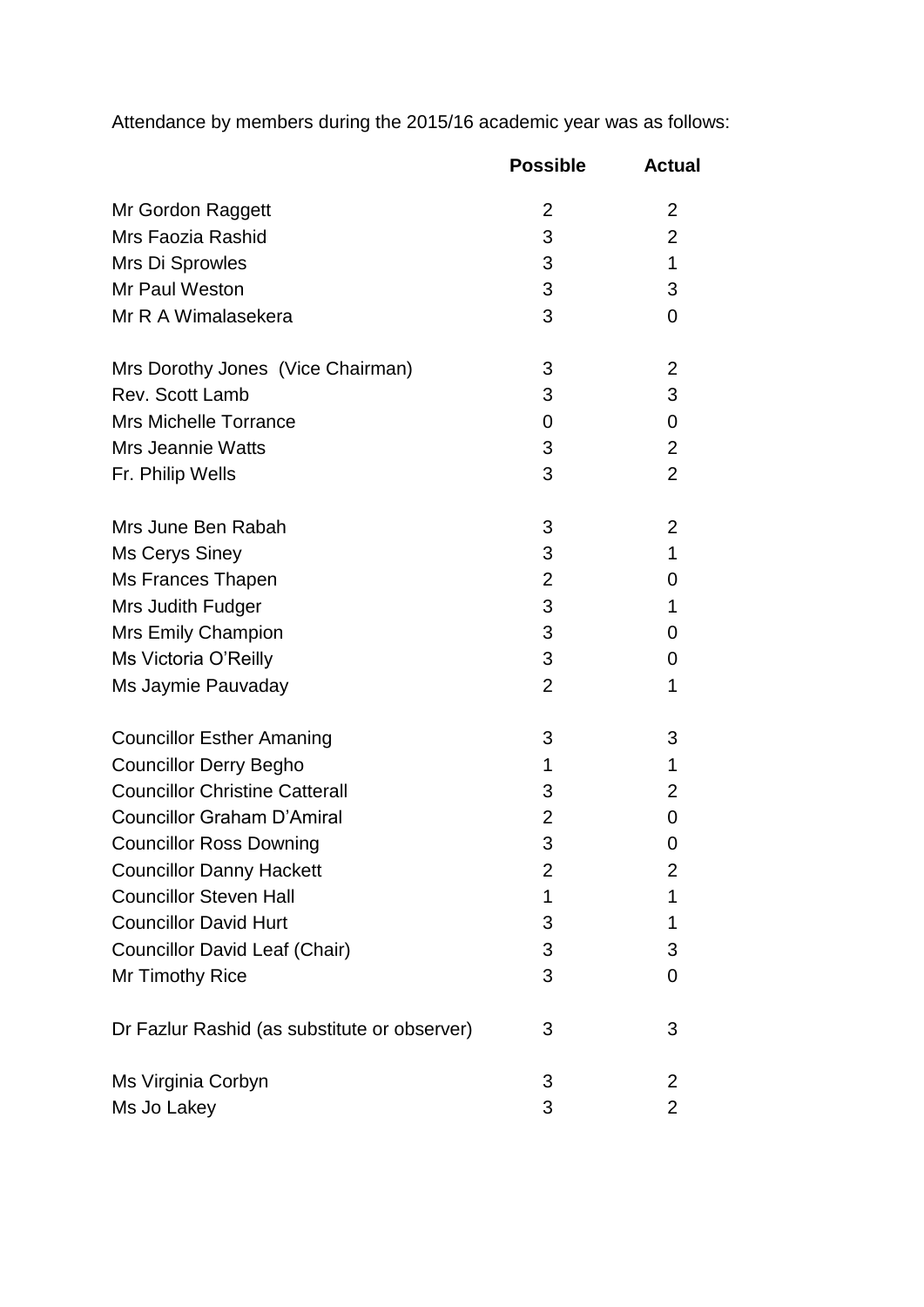Attendance by members during the 2015/16 academic year was as follows:

|                                              | <b>Possible</b> | <b>Actual</b>  |
|----------------------------------------------|-----------------|----------------|
| Mr Gordon Raggett                            | $\overline{2}$  | 2              |
| Mrs Faozia Rashid                            | 3               | $\overline{2}$ |
| Mrs Di Sprowles                              | 3               | 1              |
| Mr Paul Weston                               | 3               | 3              |
| Mr R A Wimalasekera                          | 3               | 0              |
| Mrs Dorothy Jones (Vice Chairman)            | 3               | 2              |
| Rev. Scott Lamb                              | 3               | 3              |
| <b>Mrs Michelle Torrance</b>                 | 0               | 0              |
| <b>Mrs Jeannie Watts</b>                     | 3               | $\overline{2}$ |
| Fr. Philip Wells                             | 3               | $\overline{2}$ |
| Mrs June Ben Rabah                           | 3               | 2              |
| Ms Cerys Siney                               | 3               | 1              |
| Ms Frances Thapen                            | $\overline{2}$  | 0              |
| Mrs Judith Fudger                            | 3               | 1              |
| Mrs Emily Champion                           | 3               | 0              |
| Ms Victoria O'Reilly                         | 3               | 0              |
| Ms Jaymie Pauvaday                           | $\overline{2}$  | 1              |
| <b>Councillor Esther Amaning</b>             | 3               | 3              |
| <b>Councillor Derry Begho</b>                | 1               | 1              |
| <b>Councillor Christine Catterall</b>        | 3               | 2              |
| <b>Councillor Graham D'Amiral</b>            | $\overline{2}$  | 0              |
| <b>Councillor Ross Downing</b>               | 3               | 0              |
| <b>Councillor Danny Hackett</b>              | $\overline{2}$  | 2              |
| <b>Councillor Steven Hall</b>                | 1               | 1              |
| <b>Councillor David Hurt</b>                 | 3               | 1              |
| <b>Councillor David Leaf (Chair)</b>         | 3               | 3              |
| Mr Timothy Rice                              | 3               | 0              |
| Dr Fazlur Rashid (as substitute or observer) | 3               | 3              |
| Ms Virginia Corbyn                           | 3               | 2              |
| Ms Jo Lakey                                  | 3               | $\overline{2}$ |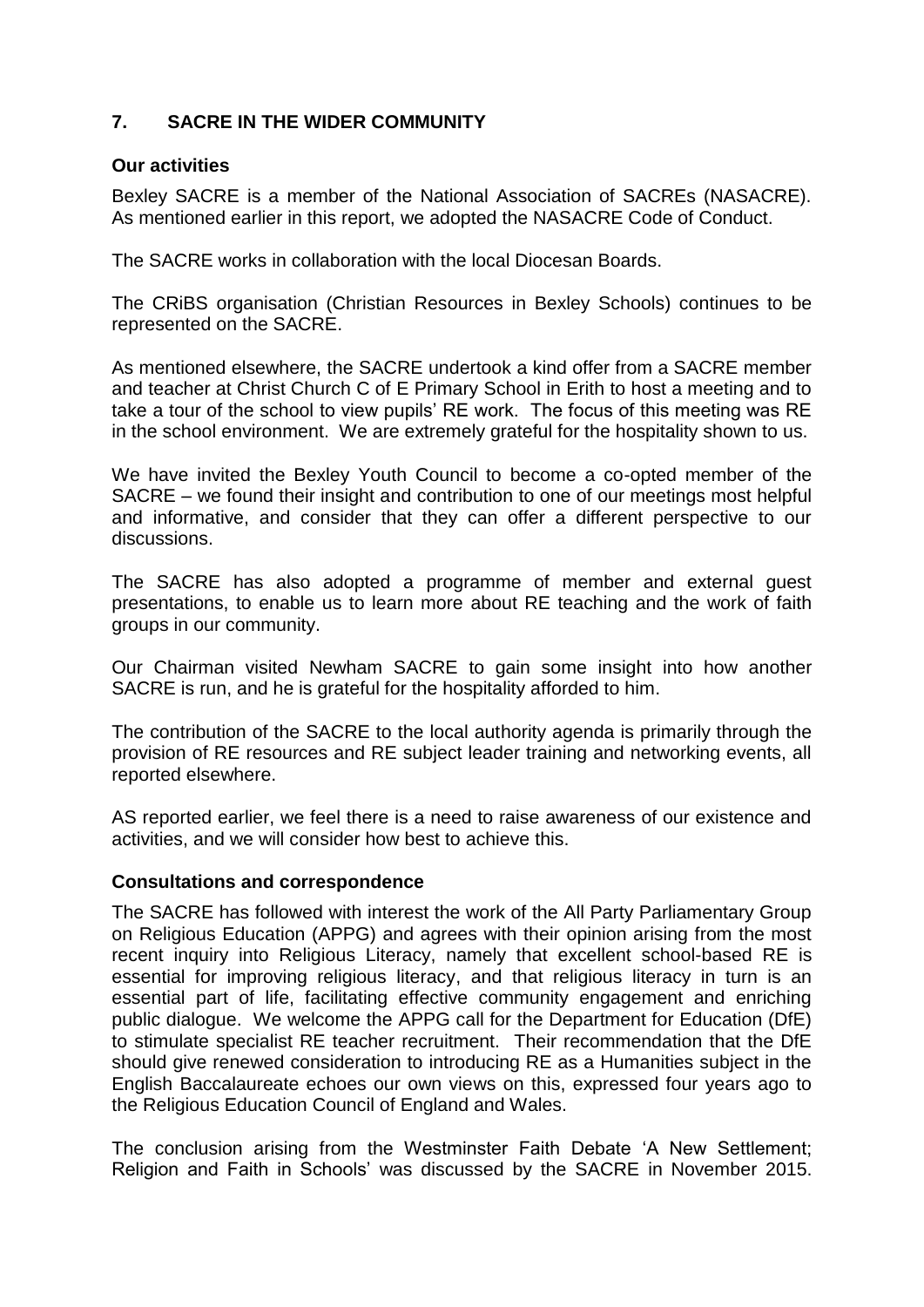# **7. SACRE IN THE WIDER COMMUNITY**

#### **Our activities**

Bexley SACRE is a member of the National Association of SACREs (NASACRE). As mentioned earlier in this report, we adopted the NASACRE Code of Conduct.

The SACRE works in collaboration with the local Diocesan Boards.

The CRiBS organisation (Christian Resources in Bexley Schools) continues to be represented on the SACRE.

As mentioned elsewhere, the SACRE undertook a kind offer from a SACRE member and teacher at Christ Church C of E Primary School in Erith to host a meeting and to take a tour of the school to view pupils' RE work. The focus of this meeting was RE in the school environment. We are extremely grateful for the hospitality shown to us.

We have invited the Bexley Youth Council to become a co-opted member of the SACRE – we found their insight and contribution to one of our meetings most helpful and informative, and consider that they can offer a different perspective to our discussions.

The SACRE has also adopted a programme of member and external guest presentations, to enable us to learn more about RE teaching and the work of faith groups in our community.

Our Chairman visited Newham SACRE to gain some insight into how another SACRE is run, and he is grateful for the hospitality afforded to him.

The contribution of the SACRE to the local authority agenda is primarily through the provision of RE resources and RE subject leader training and networking events, all reported elsewhere.

AS reported earlier, we feel there is a need to raise awareness of our existence and activities, and we will consider how best to achieve this.

#### **Consultations and correspondence**

The SACRE has followed with interest the work of the All Party Parliamentary Group on Religious Education (APPG) and agrees with their opinion arising from the most recent inquiry into Religious Literacy, namely that excellent school-based RE is essential for improving religious literacy, and that religious literacy in turn is an essential part of life, facilitating effective community engagement and enriching public dialogue. We welcome the APPG call for the Department for Education (DfE) to stimulate specialist RE teacher recruitment. Their recommendation that the DfE should give renewed consideration to introducing RE as a Humanities subject in the English Baccalaureate echoes our own views on this, expressed four years ago to the Religious Education Council of England and Wales.

The conclusion arising from the Westminster Faith Debate 'A New Settlement; Religion and Faith in Schools' was discussed by the SACRE in November 2015.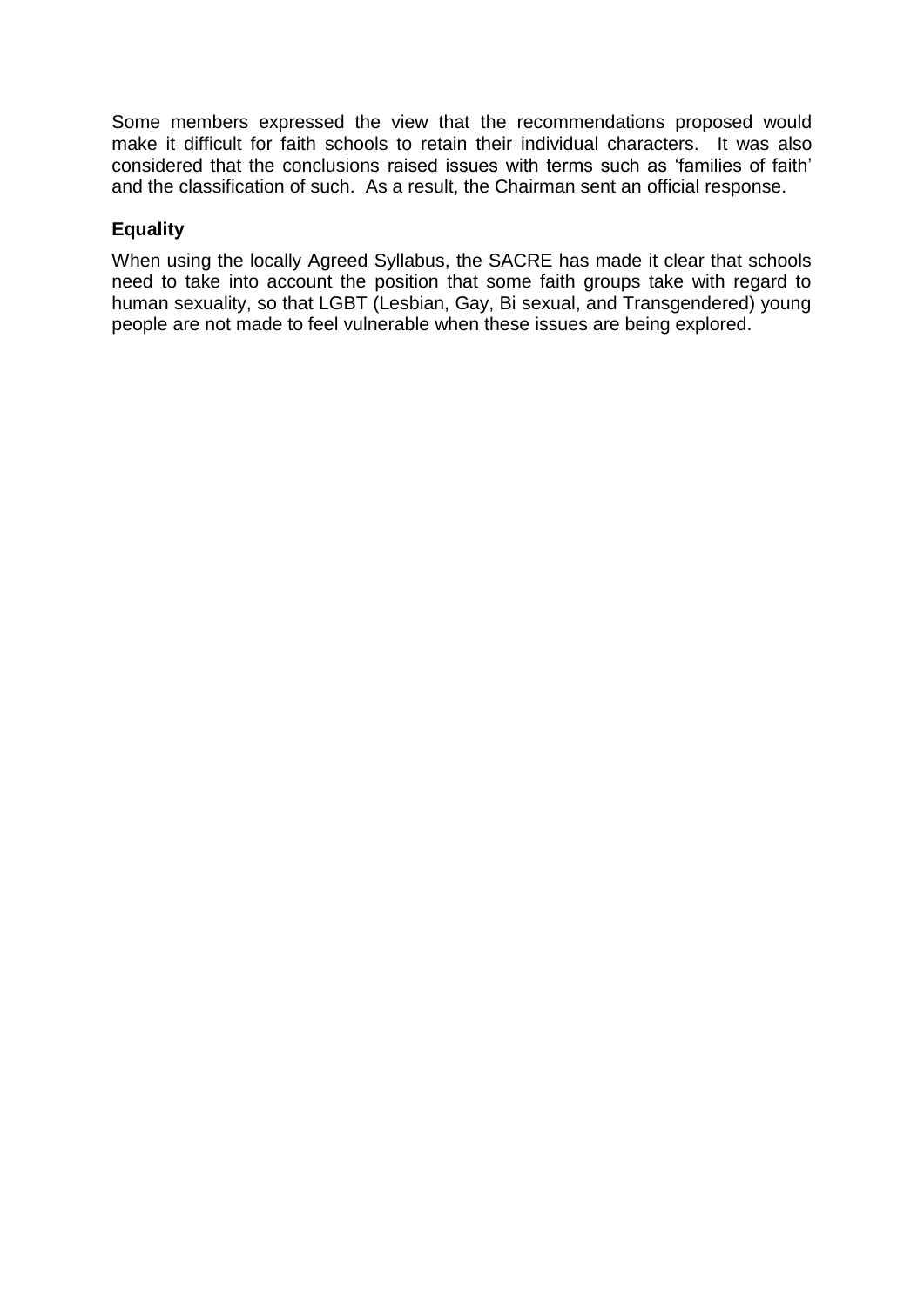Some members expressed the view that the recommendations proposed would make it difficult for faith schools to retain their individual characters. It was also considered that the conclusions raised issues with terms such as 'families of faith' and the classification of such. As a result, the Chairman sent an official response.

## **Equality**

When using the locally Agreed Syllabus, the SACRE has made it clear that schools need to take into account the position that some faith groups take with regard to human sexuality, so that LGBT (Lesbian, Gay, Bi sexual, and Transgendered) young people are not made to feel vulnerable when these issues are being explored.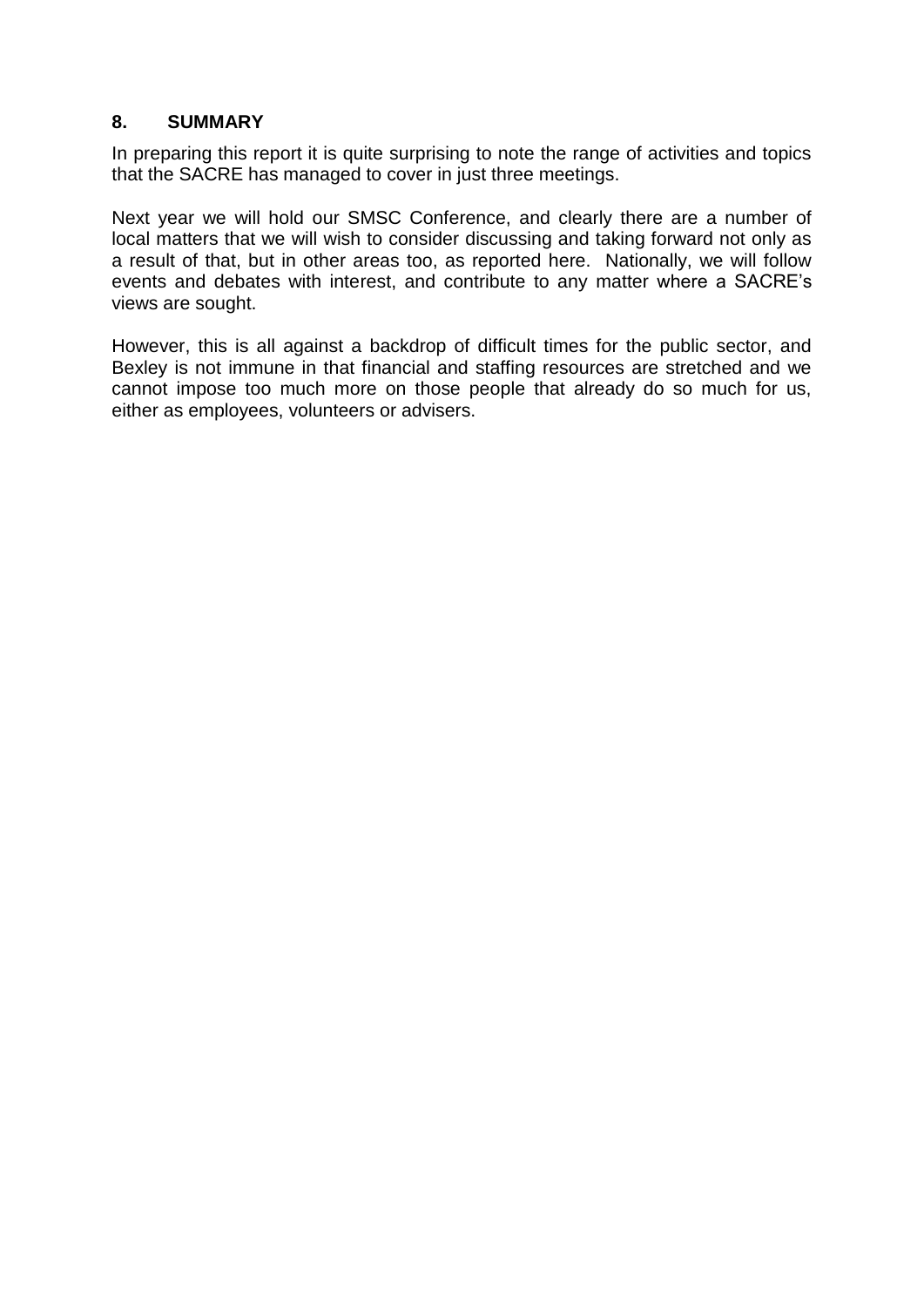## **8. SUMMARY**

In preparing this report it is quite surprising to note the range of activities and topics that the SACRE has managed to cover in just three meetings.

Next year we will hold our SMSC Conference, and clearly there are a number of local matters that we will wish to consider discussing and taking forward not only as a result of that, but in other areas too, as reported here. Nationally, we will follow events and debates with interest, and contribute to any matter where a SACRE's views are sought.

However, this is all against a backdrop of difficult times for the public sector, and Bexley is not immune in that financial and staffing resources are stretched and we cannot impose too much more on those people that already do so much for us, either as employees, volunteers or advisers.